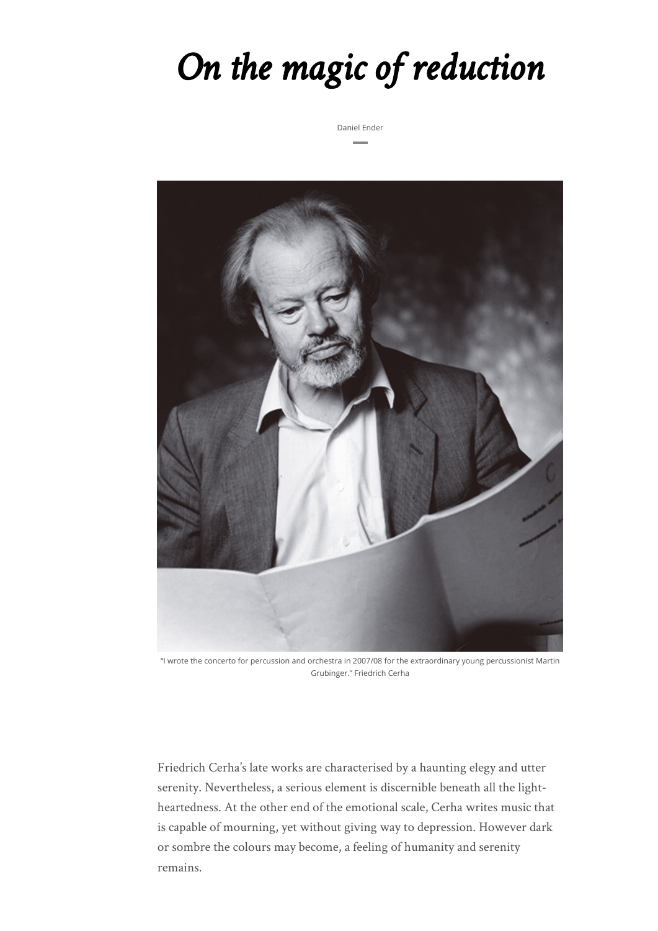# *On the magic of reduction*

Daniel Ender



"I wrote the concerto for percussion and orchestra in 2007/08 for the extraordinary young percussionist Martin Grubinger." Friedrich Cerha

Friedrich Cerha's late works are characterised by a haunting elegy and utter serenity. Nevertheless, a serious element is discernible beneath all the lightheartedness. At the other end of the emotional scale, Cerha writes music that is capable of mourning, yet without giving way to depression. However dark or sombre the colours may become, a feeling of humanity and serenity remains.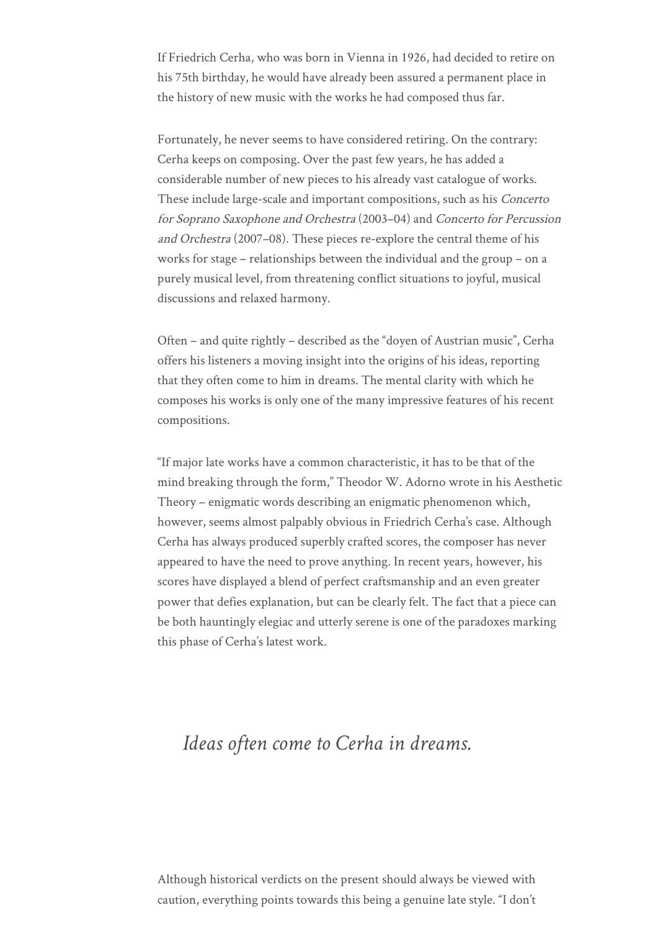If Friedrich Cerha, who was born in Vienna in 1926, had decided to retire on his 75th birthday, he would have already been assured a permanent place in the history of new music with the works he had composed thus far.

Fortunately, he never seems to have considered retiring. On the contrary: Cerha keeps on composing. Over the past few years, he has added a considerable number of new pieces to his already vast catalogue of works. These include large-scale and important compositions, such as his Concerto for Soprano Saxophone and Orchestra (2003–04) and Concerto for Percussion and Orchestra (2007–08). These pieces re-explore the central theme of his works for stage – relationships between the individual and the group – on a purely musical level, from threatening conflict situations to joyful, musical discussions and relaxed harmony.

Often – and quite rightly – described as the "doyen of Austrian music", Cerha offers his listeners a moving insight into the origins of his ideas, reporting that they often come to him in dreams. The mental clarity with which he composes his works is only one of the many impressive features of his recent compositions.

"If major late works have a common characteristic, it has to be that of the mind breaking through the form," Theodor W. Adorno wrote in his Aesthetic Theory – enigmatic words describing an enigmatic phenomenon which, however, seems almost palpably obvious in Friedrich Cerha's case. Although Cerha has always produced superbly crafted scores, the composer has never appeared to have the need to prove anything. In recent years, however, his scores have displayed a blend of perfect craftsmanship and an even greater power that defies explanation, but can be clearly felt. The fact that a piece can be both hauntingly elegiac and utterly serene is one of the paradoxes marking this phase of Cerha's latest work.

# *Ideas often come to Cerha in dreams.*

Although historical verdicts on the present should always be viewed with caution, everything points towards this being a genuine late style. "I don't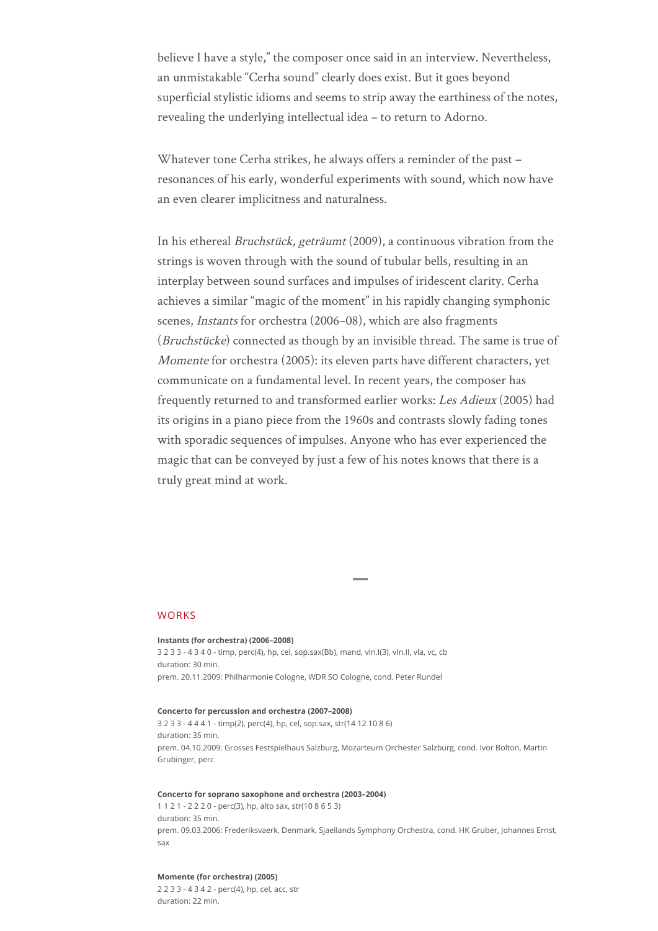believe I have a style," the composer once said in an interview. Nevertheless, an unmistakable "Cerha sound" clearly does exist. But it goes beyond superficial stylistic idioms and seems to strip away the earthiness of the notes, revealing the underlying intellectual idea – to return to Adorno.

Whatever tone Cerha strikes, he always offers a reminder of the past – resonances of his early, wonderful experiments with sound, which now have an even clearer implicitness and naturalness.

In his ethereal *Bruchstück, geträumt* (2009), a continuous vibration from the strings is woven through with the sound of tubular bells, resulting in an interplay between sound surfaces and impulses of iridescent clarity. Cerha achieves a similar "magic of the moment" in his rapidly changing symphonic scenes, Instants for orchestra (2006–08), which are also fragments (Bruchstücke) connected as though by an invisible thread. The same is true of Momente for orchestra (2005): its eleven parts have different characters, yet communicate on a fundamental level. In recent years, the composer has frequently returned to and transformed earlier works: Les Adieux (2005) had its origins in a piano piece from the 1960s and contrasts slowly fading tones with sporadic sequences of impulses. Anyone who has ever experienced the magic that can be conveyed by just a few of his notes knows that there is a truly great mind at work.

# **WORKS**

#### **Instants (for orchestra) (2006–2008)**

3 2 3 3 - 4 3 4 0 - timp, perc(4), hp, cel, sop.sax(Bb), mand, vln.I(3), vln.II, vla, vc, cb duration: 30 min. prem. 20.11.2009: Philharmonie Cologne, WDR SO Cologne, cond. Peter Rundel

#### **Concerto for percussion and orchestra (2007–2008)**

3 2 3 3 - 4 4 4 1 - timp(2), perc(4), hp, cel, sop.sax, str(14 12 10 8 6) duration: 35 min. prem. 04.10.2009: Grosses Festspielhaus Salzburg, Mozarteum Orchester Salzburg, cond. Ivor Bolton, Martin Grubinger, perc

#### **Concerto for soprano saxophone and orchestra (2003–2004)**

1 1 2 1 - 2 2 2 0 - perc(3), hp, alto sax, str(10 8 6 5 3) duration: 35 min. prem. 09.03.2006: Frederiksvaerk, Denmark, Sjaellands Symphony Orchestra, cond. HK Gruber, Johannes Ernst, sax

#### **Momente (for orchestra) (2005)**

2 2 3 3 - 4 3 4 2 - perc(4), hp, cel, acc, str duration: 22 min.